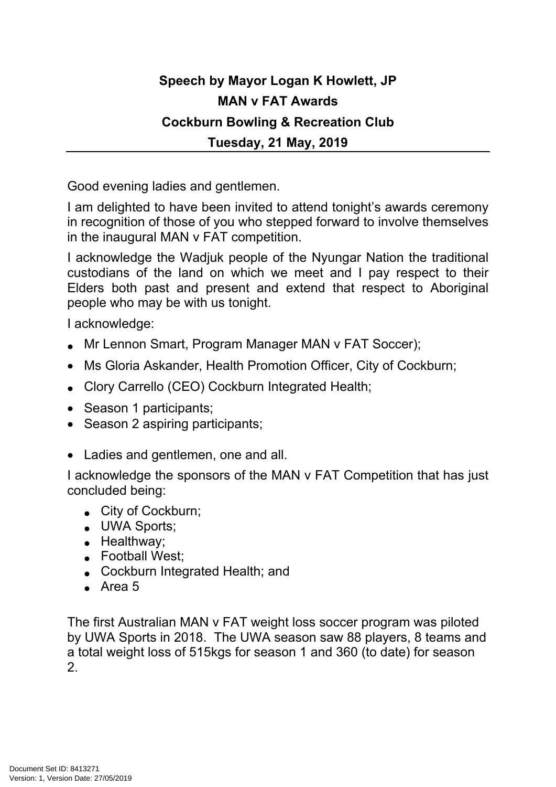## **Speech by Mayor Logan K Howlett, JP MAN v FAT Awards Cockburn Bowling & Recreation Club Tuesday, 21 May, 2019**

Good evening ladies and gentlemen.

I am delighted to have been invited to attend tonight's awards ceremony in recognition of those of you who stepped forward to involve themselves in the inaugural MAN v FAT competition.

I acknowledge the Wadjuk people of the Nyungar Nation the traditional custodians of the land on which we meet and I pay respect to their Elders both past and present and extend that respect to Aboriginal people who may be with us tonight.

I acknowledge:

- Mr Lennon Smart, Program Manager MAN v FAT Soccer);
- Ms Gloria Askander, Health Promotion Officer, City of Cockburn;
- Clory Carrello (CEO) Cockburn Integrated Health;
- Season 1 participants;
- Season 2 aspiring participants;
- Ladies and gentlemen, one and all.

I acknowledge the sponsors of the MAN v FAT Competition that has just concluded being:

- City of Cockburn;
- UWA Sports:
- Healthway;
- Football West;
- Cockburn Integrated Health; and
- Area 5

The first Australian MAN v FAT weight loss soccer program was piloted by UWA Sports in 2018. The UWA season saw 88 players, 8 teams and a total weight loss of 515kgs for season 1 and 360 (to date) for season 2.